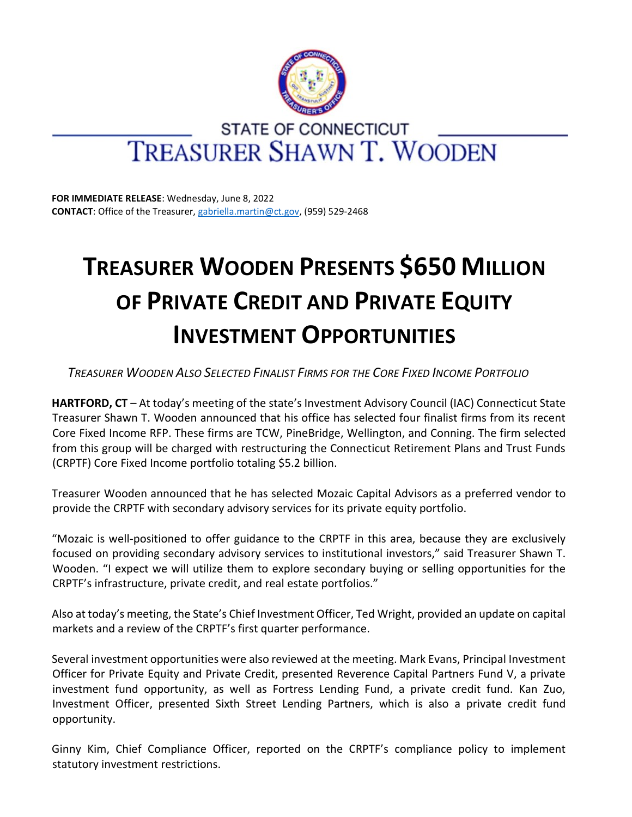

## **STATE OF CONNECTICUT** TREASURER SHAWN T. WOODEN

**FOR IMMEDIATE RELEASE**: Wednesday, June 8, 2022 **CONTACT**: Office of the Treasurer, [gabriella.martin@ct.gov,](mailto:gabriella.martin@ct.gov) (959) 529-2468

## **TREASURER WOODEN PRESENTS \$650 MILLION OF PRIVATE CREDIT AND PRIVATE EQUITY INVESTMENT OPPORTUNITIES**

Treasurer Wooden Also Selected Finalist Firms for the Core Fixed Income Portfolio

**HARTFORD, CT** – At today's meeting of the state's Investment Advisory Council (IAC) Connecticut State Treasurer Shawn T. Wooden announced that his office has selected four finalist firms from its recent Core Fixed Income RFP. These firms are TCW, PineBridge, Wellington, and Conning. The firm selected from this group will be charged with restructuring the Connecticut Retirement Plans and Trust Funds (CRPTF) Core Fixed Income portfolio totaling \$5.2 billion.

Treasurer Wooden announced that he has selected Mozaic Capital Advisors as a preferred vendor to provide the CRPTF with secondary advisory services for its private equity portfolio.

"Mozaic is well-positioned to offer guidance to the CRPTF in this area, because they are exclusively focused on providing secondary advisory services to institutional investors," said Treasurer Shawn T. Wooden. "I expect we will utilize them to explore secondary buying or selling opportunities for the CRPTF's infrastructure, private credit, and real estate portfolios."

Also at today's meeting, the State's Chief Investment Officer, Ted Wright, provided an update on capital markets and a review of the CRPTF's first quarter performance.

Several investment opportunities were also reviewed at the meeting. Mark Evans, Principal Investment Officer for Private Equity and Private Credit, presented Reverence Capital Partners Fund V, a private investment fund opportunity, as well as Fortress Lending Fund, a private credit fund. Kan Zuo, Investment Officer, presented Sixth Street Lending Partners, which is also a private credit fund opportunity.

Ginny Kim, Chief Compliance Officer, reported on the CRPTF's compliance policy to implement statutory investment restrictions.